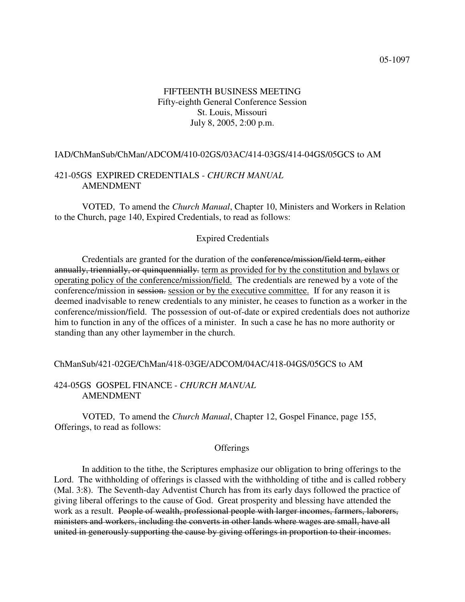# FIFTEENTH BUSINESS MEETING Fifty-eighth General Conference Session St. Louis, Missouri July 8, 2005, 2:00 p.m.

### IAD/ChManSub/ChMan/ADCOM/410-02GS/03AC/414-03GS/414-04GS/05GCS to AM

# 421-05GS EXPIRED CREDENTIALS - *CHURCH MANUAL* AMENDMENT

VOTED, To amend the *Church Manual*, Chapter 10, Ministers and Workers in Relation to the Church, page 140, Expired Credentials, to read as follows:

### Expired Credentials

Credentials are granted for the duration of the conference/mission/field term, either annually, triennially, or quinquennially. term as provided for by the constitution and bylaws or operating policy of the conference/mission/field. The credentials are renewed by a vote of the conference/mission in session. session or by the executive committee. If for any reason it is deemed inadvisable to renew credentials to any minister, he ceases to function as a worker in the conference/mission/field. The possession of out-of-date or expired credentials does not authorize him to function in any of the offices of a minister. In such a case he has no more authority or standing than any other laymember in the church.

### ChManSub/421-02GE/ChMan/418-03GE/ADCOM/04AC/418-04GS/05GCS to AM

### 424-05GS GOSPEL FINANCE - *CHURCH MANUAL* AMENDMENT

VOTED, To amend the *Church Manual*, Chapter 12, Gospel Finance, page 155, Offerings, to read as follows:

### **Offerings**

In addition to the tithe, the Scriptures emphasize our obligation to bring offerings to the Lord. The withholding of offerings is classed with the withholding of tithe and is called robbery (Mal. 3:8). The Seventh-day Adventist Church has from its early days followed the practice of giving liberal offerings to the cause of God. Great prosperity and blessing have attended the work as a result. People of wealth, professional people with larger incomes, farmers, laborers, ministers and workers, including the converts in other lands where wages are small, have all united in generously supporting the cause by giving offerings in proportion to their incomes.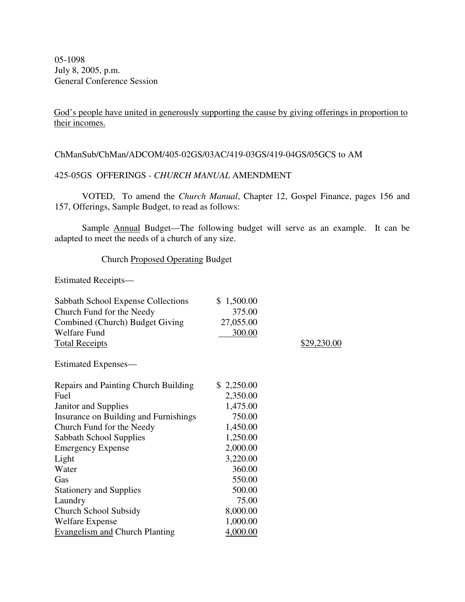05-1098 July 8, 2005, p.m. General Conference Session

# God's people have united in generously supporting the cause by giving offerings in proportion to their incomes.

### ChManSub/ChMan/ADCOM/405-02GS/03AC/419-03GS/419-04GS/05GCS to AM

### 425-05GS OFFERINGS - *CHURCH MANUAL* AMENDMENT

VOTED, To amend the *Church Manual*, Chapter 12, Gospel Finance, pages 156 and 157, Offerings, Sample Budget, to read as follows:

Sample Annual Budget—The following budget will serve as an example. It can be adapted to meet the needs of a church of any size.

Church Proposed Operating Budget

Estimated Receipts—

| \$1,500.00 |             |
|------------|-------------|
| 375.00     |             |
| 27,055.00  |             |
| 300.00     |             |
|            | \$29,230.00 |
|            |             |
| \$2,250.00 |             |
| 2,350.00   |             |
| 1,475.00   |             |
| 750.00     |             |
| 1,450.00   |             |
| 1,250.00   |             |
| 2,000.00   |             |
| 3,220.00   |             |
| 360.00     |             |
| 550.00     |             |
| 500.00     |             |
| 75.00      |             |
| 8,000.00   |             |
| 1,000.00   |             |
| 4,000.00   |             |
|            |             |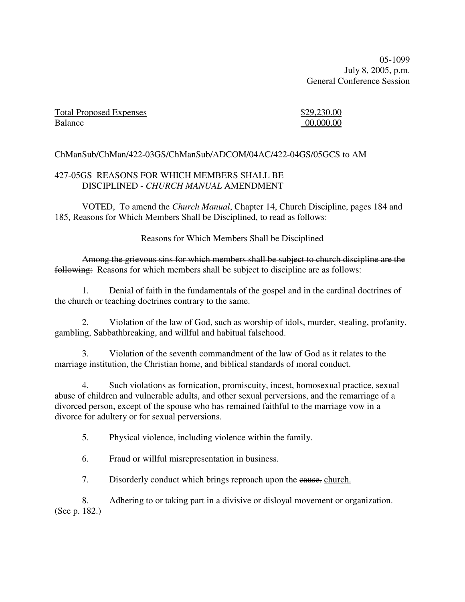05-1099 July 8, 2005, p.m. General Conference Session

| <b>Total Proposed Expenses</b> | \$29,230.00 |
|--------------------------------|-------------|
| <b>Balance</b>                 | 00,000.00   |

### ChManSub/ChMan/422-03GS/ChManSub/ADCOM/04AC/422-04GS/05GCS to AM

# 427-05GS REASONS FOR WHICH MEMBERS SHALL BE DISCIPLINED - *CHURCH MANUAL* AMENDMENT

VOTED, To amend the *Church Manual*, Chapter 14, Church Discipline, pages 184 and 185, Reasons for Which Members Shall be Disciplined, to read as follows:

Reasons for Which Members Shall be Disciplined

Among the grievous sins for which members shall be subject to church discipline are the following: Reasons for which members shall be subject to discipline are as follows:

1. Denial of faith in the fundamentals of the gospel and in the cardinal doctrines of the church or teaching doctrines contrary to the same.

2. Violation of the law of God, such as worship of idols, murder, stealing, profanity, gambling, Sabbathbreaking, and willful and habitual falsehood.

3. Violation of the seventh commandment of the law of God as it relates to the marriage institution, the Christian home, and biblical standards of moral conduct.

4. Such violations as fornication, promiscuity, incest, homosexual practice, sexual abuse of children and vulnerable adults, and other sexual perversions, and the remarriage of a divorced person, except of the spouse who has remained faithful to the marriage vow in a divorce for adultery or for sexual perversions.

5. Physical violence, including violence within the family.

6. Fraud or willful misrepresentation in business.

7. Disorderly conduct which brings reproach upon the cause. church.

8. Adhering to or taking part in a divisive or disloyal movement or organization. (See p. 182.)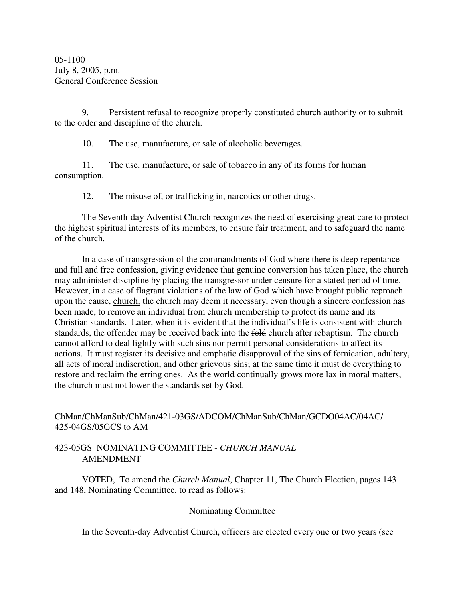05-1100 July 8, 2005, p.m. General Conference Session

9. Persistent refusal to recognize properly constituted church authority or to submit to the order and discipline of the church.

10. The use, manufacture, or sale of alcoholic beverages.

11. The use, manufacture, or sale of tobacco in any of its forms for human consumption.

12. The misuse of, or trafficking in, narcotics or other drugs.

The Seventh-day Adventist Church recognizes the need of exercising great care to protect the highest spiritual interests of its members, to ensure fair treatment, and to safeguard the name of the church.

In a case of transgression of the commandments of God where there is deep repentance and full and free confession, giving evidence that genuine conversion has taken place, the church may administer discipline by placing the transgressor under censure for a stated period of time. However, in a case of flagrant violations of the law of God which have brought public reproach upon the cause, church, the church may deem it necessary, even though a sincere confession has been made, to remove an individual from church membership to protect its name and its Christian standards. Later, when it is evident that the individual's life is consistent with church standards, the offender may be received back into the fold church after rebaptism. The church cannot afford to deal lightly with such sins nor permit personal considerations to affect its actions. It must register its decisive and emphatic disapproval of the sins of fornication, adultery, all acts of moral indiscretion, and other grievous sins; at the same time it must do everything to restore and reclaim the erring ones. As the world continually grows more lax in moral matters, the church must not lower the standards set by God.

ChMan/ChManSub/ChMan/421-03GS/ADCOM/ChManSub/ChMan/GCDO04AC/04AC/ 425-04GS/05GCS to AM

# 423-05GS NOMINATING COMMITTEE - *CHURCH MANUAL* AMENDMENT

VOTED, To amend the *Church Manual*, Chapter 11, The Church Election, pages 143 and 148, Nominating Committee, to read as follows:

# Nominating Committee

In the Seventh-day Adventist Church, officers are elected every one or two years (see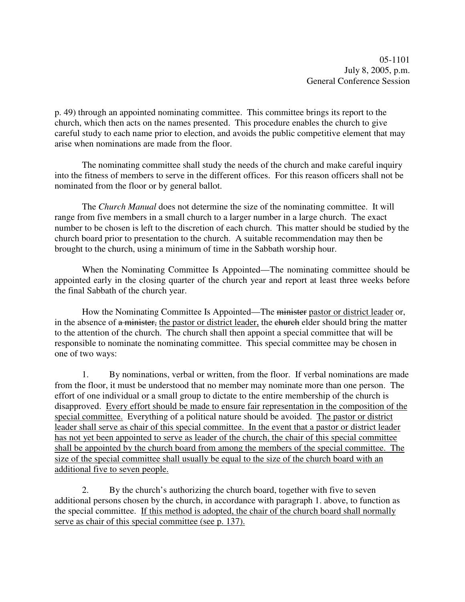05-1101 July 8, 2005, p.m. General Conference Session

p. 49) through an appointed nominating committee. This committee brings its report to the church, which then acts on the names presented. This procedure enables the church to give careful study to each name prior to election, and avoids the public competitive element that may arise when nominations are made from the floor.

The nominating committee shall study the needs of the church and make careful inquiry into the fitness of members to serve in the different offices. For this reason officers shall not be nominated from the floor or by general ballot.

The *Church Manual* does not determine the size of the nominating committee. It will range from five members in a small church to a larger number in a large church. The exact number to be chosen is left to the discretion of each church. This matter should be studied by the church board prior to presentation to the church. A suitable recommendation may then be brought to the church, using a minimum of time in the Sabbath worship hour.

When the Nominating Committee Is Appointed—The nominating committee should be appointed early in the closing quarter of the church year and report at least three weeks before the final Sabbath of the church year.

How the Nominating Committee Is Appointed—The minister pastor or district leader or, in the absence of a minister, the pastor or district leader, the church elder should bring the matter to the attention of the church. The church shall then appoint a special committee that will be responsible to nominate the nominating committee. This special committee may be chosen in one of two ways:

1. By nominations, verbal or written, from the floor. If verbal nominations are made from the floor, it must be understood that no member may nominate more than one person. The effort of one individual or a small group to dictate to the entire membership of the church is disapproved. Every effort should be made to ensure fair representation in the composition of the special committee. Everything of a political nature should be avoided. The pastor or district leader shall serve as chair of this special committee. In the event that a pastor or district leader has not yet been appointed to serve as leader of the church, the chair of this special committee shall be appointed by the church board from among the members of the special committee. The size of the special committee shall usually be equal to the size of the church board with an additional five to seven people.

2. By the church's authorizing the church board, together with five to seven additional persons chosen by the church, in accordance with paragraph 1. above, to function as the special committee. If this method is adopted, the chair of the church board shall normally serve as chair of this special committee (see p. 137).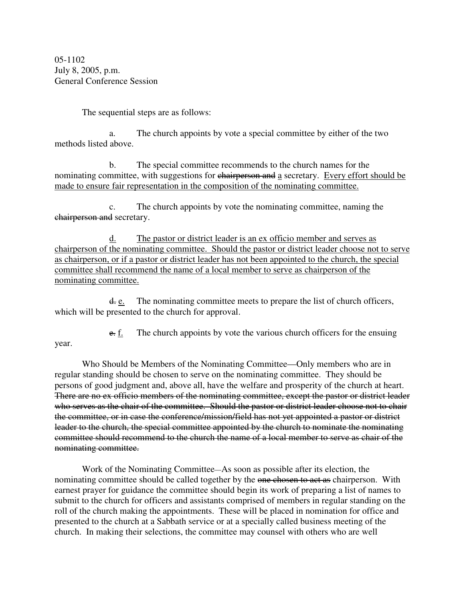05-1102 July 8, 2005, p.m. General Conference Session

year.

The sequential steps are as follows:

a. The church appoints by vote a special committee by either of the two methods listed above.

b. The special committee recommends to the church names for the nominating committee, with suggestions for chairperson and a secretary. Every effort should be made to ensure fair representation in the composition of the nominating committee.

c. The church appoints by vote the nominating committee, naming the chairperson and secretary.

d. The pastor or district leader is an ex officio member and serves as chairperson of the nominating committee. Should the pastor or district leader choose not to serve as chairperson, or if a pastor or district leader has not been appointed to the church, the special committee shall recommend the name of a local member to serve as chairperson of the nominating committee.

d. e. The nominating committee meets to prepare the list of church officers, which will be presented to the church for approval.

 $e_{\text{t}}$ . The church appoints by vote the various church officers for the ensuing

Who Should be Members of the Nominating Committee—Only members who are in regular standing should be chosen to serve on the nominating committee. They should be persons of good judgment and, above all, have the welfare and prosperity of the church at heart. There are no ex officio members of the nominating committee, except the pastor or district leader who serves as the chair of the committee. Should the pastor or district leader choose not to chair the committee, or in case the conference/mission/field has not yet appointed a pastor or district leader to the church, the special committee appointed by the church to nominate the nominating committee should recommend to the church the name of a local member to serve as chair of the nominating committee.

Work of the Nominating Committee*—*As soon as possible after its election, the nominating committee should be called together by the one chosen to act as chairperson. With earnest prayer for guidance the committee should begin its work of preparing a list of names to submit to the church for officers and assistants comprised of members in regular standing on the roll of the church making the appointments. These will be placed in nomination for office and presented to the church at a Sabbath service or at a specially called business meeting of the church. In making their selections, the committee may counsel with others who are well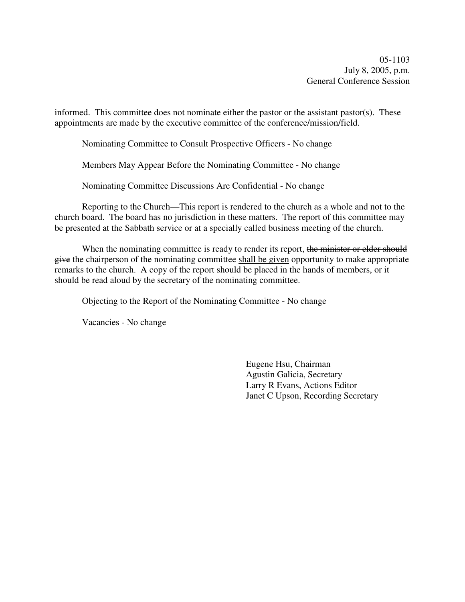05-1103 July 8, 2005, p.m. General Conference Session

informed. This committee does not nominate either the pastor or the assistant pastor(s). These appointments are made by the executive committee of the conference/mission/field.

Nominating Committee to Consult Prospective Officers - No change

Members May Appear Before the Nominating Committee - No change

Nominating Committee Discussions Are Confidential - No change

Reporting to the Church—This report is rendered to the church as a whole and not to the church board. The board has no jurisdiction in these matters. The report of this committee may be presented at the Sabbath service or at a specially called business meeting of the church.

When the nominating committee is ready to render its report, the minister or elder should give the chairperson of the nominating committee shall be given opportunity to make appropriate remarks to the church. A copy of the report should be placed in the hands of members, or it should be read aloud by the secretary of the nominating committee.

Objecting to the Report of the Nominating Committee - No change

Vacancies - No change

Eugene Hsu, Chairman Agustin Galicia, Secretary Larry R Evans, Actions Editor Janet C Upson, Recording Secretary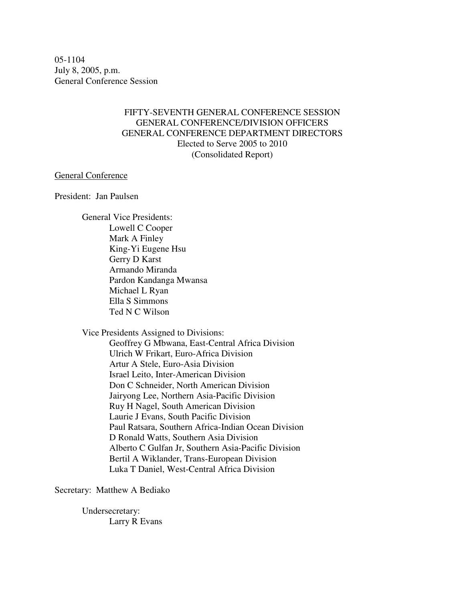05-1104 July 8, 2005, p.m. General Conference Session

# FIFTY-SEVENTH GENERAL CONFERENCE SESSION GENERAL CONFERENCE/DIVISION OFFICERS GENERAL CONFERENCE DEPARTMENT DIRECTORS Elected to Serve 2005 to 2010 (Consolidated Report)

# General Conference

President: Jan Paulsen

General Vice Presidents: Lowell C Cooper Mark A Finley King-Yi Eugene Hsu Gerry D Karst Armando Miranda Pardon Kandanga Mwansa Michael L Ryan Ella S Simmons Ted N C Wilson

Vice Presidents Assigned to Divisions: Geoffrey G Mbwana, East-Central Africa Division Ulrich W Frikart, Euro-Africa Division Artur A Stele, Euro-Asia Division Israel Leito, Inter-American Division Don C Schneider, North American Division Jairyong Lee, Northern Asia-Pacific Division Ruy H Nagel, South American Division Laurie J Evans, South Pacific Division Paul Ratsara, Southern Africa-Indian Ocean Division D Ronald Watts, Southern Asia Division Alberto C Gulfan Jr, Southern Asia-Pacific Division Bertil A Wiklander, Trans-European Division Luka T Daniel, West-Central Africa Division

Secretary: Matthew A Bediako

Undersecretary: Larry R Evans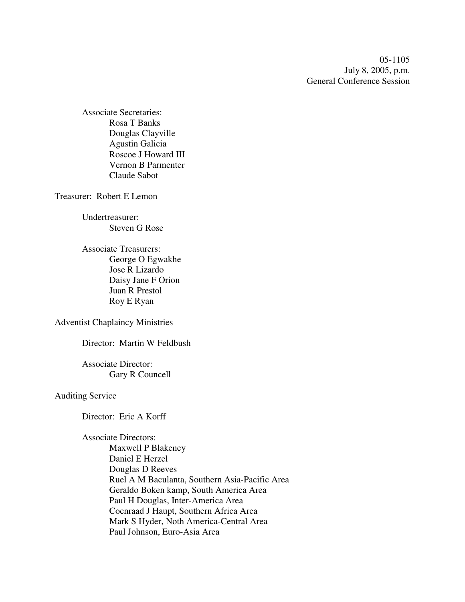05-1105 July 8, 2005, p.m. General Conference Session

Associate Secretaries: Rosa T Banks Douglas Clayville Agustin Galicia Roscoe J Howard III Vernon B Parmenter Claude Sabot

Treasurer: Robert E Lemon

Undertreasurer: Steven G Rose

Associate Treasurers: George O Egwakhe Jose R Lizardo Daisy Jane F Orion Juan R Prestol Roy E Ryan

# Adventist Chaplaincy Ministries

Director: Martin W Feldbush

Associate Director: Gary R Councell

#### Auditing Service

Director: Eric A Korff

### Associate Directors:

Maxwell P Blakeney Daniel E Herzel Douglas D Reeves Ruel A M Baculanta, Southern Asia-Pacific Area Geraldo Boken kamp, South America Area Paul H Douglas, Inter-America Area Coenraad J Haupt, Southern Africa Area Mark S Hyder, Noth America-Central Area Paul Johnson, Euro-Asia Area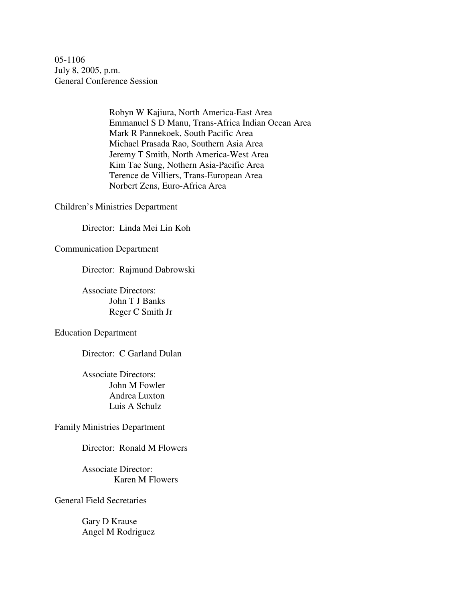05-1106 July 8, 2005, p.m. General Conference Session

> Robyn W Kajiura, North America-East Area Emmanuel S D Manu, Trans-Africa Indian Ocean Area Mark R Pannekoek, South Pacific Area Michael Prasada Rao, Southern Asia Area Jeremy T Smith, North America-West Area Kim Tae Sung, Nothern Asia-Pacific Area Terence de Villiers, Trans-European Area Norbert Zens, Euro-Africa Area

Children's Ministries Department

Director: Linda Mei Lin Koh

### Communication Department

Director: Rajmund Dabrowski

Associate Directors: John T J Banks Reger C Smith Jr

#### Education Department

Director: C Garland Dulan

Associate Directors: John M Fowler Andrea Luxton Luis A Schulz

# Family Ministries Department

Director: Ronald M Flowers

Associate Director: Karen M Flowers

General Field Secretaries

Gary D Krause Angel M Rodriguez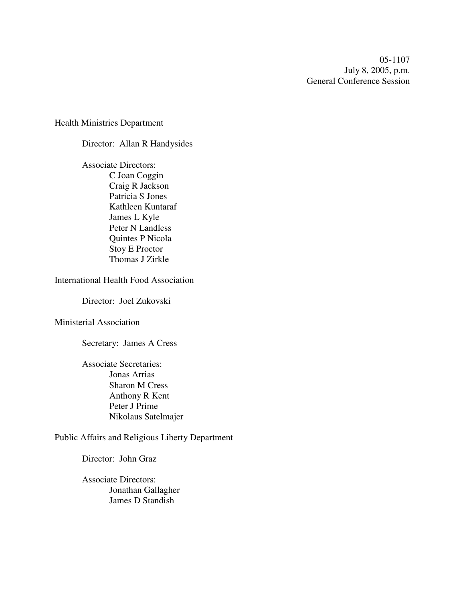05-1107 July 8, 2005, p.m. General Conference Session

#### Health Ministries Department

Director: Allan R Handysides

Associate Directors: C Joan Coggin Craig R Jackson Patricia S Jones Kathleen Kuntaraf James L Kyle Peter N Landless Quintes P Nicola Stoy E Proctor Thomas J Zirkle

International Health Food Association

Director: Joel Zukovski

### Ministerial Association

Secretary: James A Cress

Associate Secretaries: Jonas Arrias Sharon M Cress Anthony R Kent Peter J Prime Nikolaus Satelmajer

### Public Affairs and Religious Liberty Department

Director: John Graz

Associate Directors: Jonathan Gallagher James D Standish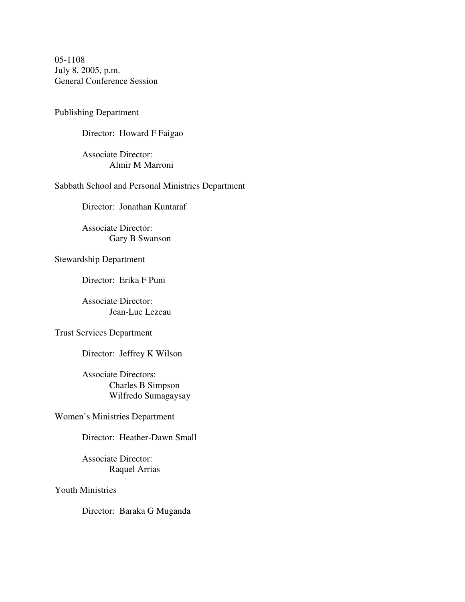05-1108 July 8, 2005, p.m. General Conference Session

Publishing Department

Director: Howard F Faigao

Associate Director: Almir M Marroni

# Sabbath School and Personal Ministries Department

Director: Jonathan Kuntaraf

Associate Director: Gary B Swanson

Stewardship Department

Director: Erika F Puni

Associate Director: Jean-Luc Lezeau

# Trust Services Department

Director: Jeffrey K Wilson

Associate Directors: Charles B Simpson Wilfredo Sumagaysay

Women's Ministries Department

Director: Heather-Dawn Small

Associate Director: Raquel Arrias

Youth Ministries

Director: Baraka G Muganda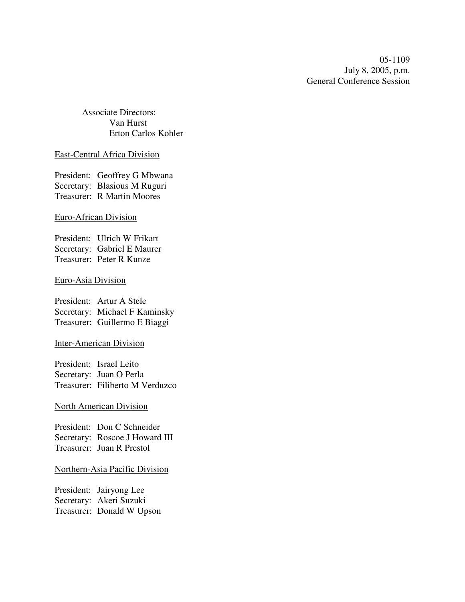05-1109 July 8, 2005, p.m. General Conference Session

Associate Directors: Van Hurst Erton Carlos Kohler

### East-Central Africa Division

President: Geoffrey G Mbwana Secretary: Blasious M Ruguri Treasurer: R Martin Moores

#### Euro-African Division

President: Ulrich W Frikart Secretary: Gabriel E Maurer Treasurer: Peter R Kunze

### Euro-Asia Division

President: Artur A Stele Secretary: Michael F Kaminsky Treasurer: Guillermo E Biaggi

# Inter-American Division

President: Israel Leito Secretary: Juan O Perla Treasurer: Filiberto M Verduzco

# North American Division

President: Don C Schneider Secretary: Roscoe J Howard III Treasurer: Juan R Prestol

Northern-Asia Pacific Division

President: Jairyong Lee Secretary: Akeri Suzuki Treasurer: Donald W Upson